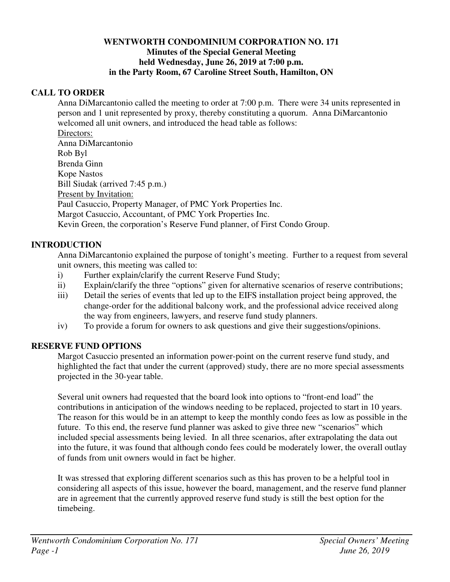#### **WENTWORTH CONDOMINIUM CORPORATION NO. 171 Minutes of the Special General Meeting held Wednesday, June 26, 2019 at 7:00 p.m. in the Party Room, 67 Caroline Street South, Hamilton, ON**

#### **CALL TO ORDER**

Anna DiMarcantonio called the meeting to order at 7:00 p.m. There were 34 units represented in person and 1 unit represented by proxy, thereby constituting a quorum. Anna DiMarcantonio welcomed all unit owners, and introduced the head table as follows:

Directors: Anna DiMarcantonio Rob Byl Brenda Ginn Kope Nastos Bill Siudak (arrived 7:45 p.m.) Present by Invitation: Paul Casuccio, Property Manager, of PMC York Properties Inc. Margot Casuccio, Accountant, of PMC York Properties Inc. Kevin Green, the corporation's Reserve Fund planner, of First Condo Group.

# **INTRODUCTION**

Anna DiMarcantonio explained the purpose of tonight's meeting. Further to a request from several unit owners, this meeting was called to:

- i) Further explain/clarify the current Reserve Fund Study;
- ii) Explain/clarify the three "options" given for alternative scenarios of reserve contributions;
- iii) Detail the series of events that led up to the EIFS installation project being approved, the change-order for the additional balcony work, and the professional advice received along the way from engineers, lawyers, and reserve fund study planners.
- iv) To provide a forum for owners to ask questions and give their suggestions/opinions.

# **RESERVE FUND OPTIONS**

Margot Casuccio presented an information power-point on the current reserve fund study, and highlighted the fact that under the current (approved) study, there are no more special assessments projected in the 30-year table.

Several unit owners had requested that the board look into options to "front-end load" the contributions in anticipation of the windows needing to be replaced, projected to start in 10 years. The reason for this would be in an attempt to keep the monthly condo fees as low as possible in the future. To this end, the reserve fund planner was asked to give three new "scenarios" which included special assessments being levied. In all three scenarios, after extrapolating the data out into the future, it was found that although condo fees could be moderately lower, the overall outlay of funds from unit owners would in fact be higher.

It was stressed that exploring different scenarios such as this has proven to be a helpful tool in considering all aspects of this issue, however the board, management, and the reserve fund planner are in agreement that the currently approved reserve fund study is still the best option for the timebeing.